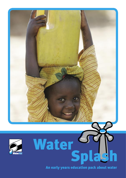



An early years education pack about water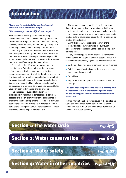

#### *"Education for sustainability and development education in the Foundation Stage?"*

#### *"No, the concepts are too difficult and complex"*

Such comments on the question of introducing development education and sustainability concepts in the Foundation Stage are common. Some practitioners, however, think otherwise, and find that by starting, with something familiar, and broadening out from there, children as young as three can relate to difficult concepts. With this approach, young children are able to consider their own experiences, develop a sense of responsibility within those experiences, and make connections between them and the different experiences of others.

Every child in the UK experiences water and its essential uses. Water holds a fascination for young children and most will be able to recall a host of experiences connected with it. It is, therefore, an excellent starting point from which to move children on from their own experiences to explore the experiences of others. Concepts of responsibility in relation to sustainability, conservation and personal safety, are also accessible for young children within an exploration of water.

This pack aims to support Foundation Stage practitioners in making such concepts and experiences accessible to the children in their care. It is designed to enable the children to explore the essential role that water plays in their lives, the availability of water to children in parts of the developing world, and the responses they can make in relation to responsible water use.

The materials could be used in circle time or story time or they could be linked to variety of activities and experiences. As well as water these could include health, living things, growing and many more. Each poster can be used as a stand-alone resource, or the whole pack can be used as a linked series.

Using this pack will support the delivery of the Stepping stones and work towards the curriculum guidance for the Foundation Stage – see table on page 3 for more details.

Oracy prompts appear on the back of each poster for immediate use with a group, and each poster is linked to a section of this accompanying booklet, which also includes:

- Background and reference information for practitioners
- Activity suggestions that can be done in one session, or developed over several
- Story ideas
- Suggested additional published resources linked to the topic

## This pack has been produced by WaterAid working with the Education Forum of the Water Companies of the UK and with support from the National Day Nurseries Association.

Further information about water issues in the developing world can be obtained from WaterAid. Details of water supply and use in the UK can be obtained from Water UK and your local water company.

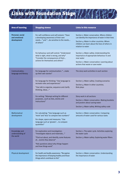

| <b>Area of learning</b>                          | <b>Stepping stones</b>                                                                                                                                                                                                 | <b>Links in this resource</b>                                                                                                                                                                                              |
|--------------------------------------------------|------------------------------------------------------------------------------------------------------------------------------------------------------------------------------------------------------------------------|----------------------------------------------------------------------------------------------------------------------------------------------------------------------------------------------------------------------------|
| Personal, social<br>and emotional<br>development | For self-confidence and self-esteem: "Have<br>a developing awareness of their own<br>needs" and "be sensitive to the needs<br>of others"                                                                               | Section 2: Water conservation. Where children<br>can identity the importance of water in their lives<br>Section 4: Water in other countries. Where<br>children can learn about the lives of others in<br>relation to water |
|                                                  | For behaviour and self control: "Understand<br>what is right, what is wrong, and why"<br>"Consider the consequences of their<br>actions for themselves and others"                                                     | Section 3: Water safety. Understanding the<br>importance of appropriate behaviour in and<br>near water<br>Section 2: Water conservation: Learning about<br>actions that waste or save water                                |
| Communication,<br>language and literacy          | For language for communication: "make<br>up their own stories"                                                                                                                                                         | The story work activities in each section                                                                                                                                                                                  |
|                                                  | For language for thinking: "Use language to<br>recreate roles and experiences"<br>"Use talk to organise, sequence and clarify<br>thinking, ideas"                                                                      | Section 3: Water safety. Creating scenarios<br>Section 4: Water in other countries.<br>Role plays                                                                                                                          |
|                                                  | For writing: "Attempt writing for different<br>purposessuch as lists, stories and<br>instructions"                                                                                                                     | Story work in all sections<br>Section 2: Water conservation. Making booklets<br>and posters about saving water<br>Section 3: Water safety. Writing safety code                                                             |
| Mathematical<br>development                      | For calculating: "Use language such as<br>'more' and 'less' to compare two numbers"<br>For shape, space and measures. "Use<br>language such as 'greater' to compare<br>quantities"                                     | Section 2: Water conservation. Comparing<br>amounts of water used for various tasks                                                                                                                                        |
| Knowledge and<br>understanding of<br>the world   | For exploration and investigation:<br>"Investigate objects and materials"<br>"Find out about, and identify, some features<br>of events they observe"<br>"Ask questions about why things happen<br>and how things work" | Section 1: The water cycle. Activities exploring<br>the water cycle<br>Section 3: Water safety. Exploring water filters                                                                                                    |
| Physical development                             | For health and bodily awareness: "Recognise<br>the importance of keeping healthy and those<br>things which contribute to this"                                                                                         | Section 2: Water conservation. Understanding<br>the importance of water                                                                                                                                                    |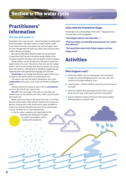# **Section 1: The water cycle**

# Practitioners' information

## (For use with poster 1)

Recycling is not a new concept – nature has been recycling water since time began. The water cycle is a closed system, which means that we use the same water over and over again. Have you ever thought that the water you drink today may have been inside a dinosaur long ago?

We may not often think about the water we use and where it comes from, but if we are to introduce young children to the concepts involved in the water cycle, we need to remind ourselves.

Young children can be introduced to the various ways that water travels in its cycle. They love to hear and use the "proper words", and if we are familiar with these ourselves, we can use them with children, making them accessible by explaining and exploring them with appropriate language and activities.

**Evaporation** is the change from liquid to vapour that occurs as water on the earth's surface is heated by the sun.

The vapour rises into the earth's atmosphere. As it cools condensation takes place, and clouds are formed, holding the water.

As these become too heavy to stay in the air, **precipitation** occurs in the form of rain, snow or hail.

Run off is the next stage in the cycle, as rain water and melted snow run into streams and rivers, which carry the water back to the sea.

Water covers two thirds of the planet, but only 2.5% of that amount is fresh water. Most of that is locked into ice caps and glaciers, leaving only 0.08% of the earth's water available for human use. Humans therefore intervene in the natural water cycle to use water for our own requirements.

In the UK, water companies are responsible for the

treatment and distribution of water for public consumption, and for dealing with wastewater.

## Links with the Foundation Stage:

Knowledge and understanding of the world – Stepping stones for exploration and investigation:

*"Investigate objects and materials..."*

*"Find out about, and identify some features of...events they observe"*

*"Ask questions about why things happen and how things work"*

# Activities

## What happens next?

- Divide the children into six small groups. Ask each group to paint one of the following pictures: sun, sea, river, rain, reservoir and a pipe leading to a tap
- Look at poster 1 with the children, and discuss the journey of the water
- Show the children their paintings and ask if they can sort them into the order of the water cycle (as in the poster)
- Ask the children to stand at the front of the group holding their paintings in a random order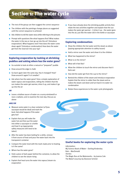# Section 1: The water cycle

- $\blacksquare$  The rest of the group can then suggest the correct sequence
- The children with the paintings change places as suggested until the correct sequence is achieved
- Ask children to tell the water story while referring to the pictures
- Prompt with questions like what happens first? What makes the water in the sea or river go up into the air? (Introduce evaporation). What happens next? How does the water come down again? (Introduce condensation) How does the water get from the reservoir into your tap?

# Exploring evaporation by looking at shrinking puddles and asking where has the water gone?

- Go outside to look at either a natural or "prepared" puddle
- Draw around the edge in chalk
- Go back again later the same day. Has it changed? How? Draw around it again? Is it smaller?
- Ask where has the water gone? Give a simple explanation of water vapour and evaporation, telling the children that the sun makes the water get warmer, dries it up, and makes it go up into the air

#### *OR*

 $\blacksquare$  Leave a shallow saucer of water on a sunny windowsill or near a radiator, and re-examine the next day. Discuss as above

#### *AND/OR*

- **Measure some water in a clear container (a Pyrex** saucepan would be ideal) and mark the level. Ask what happens if the water gets hot?
- **Explain that you will make the** water hot and then put the water into either a saucepan or a kettle and heat it up (appropriate safety measures will need to be taken)
- After the water has been boiling for a while, remove it from source of heat and pour the water back into the transparent container
- Compare the water level with the mark made prior to heating. Is it the same?
- Where has the water gone?
- $\blacksquare$  Hold a piece of dark paper behind the container, to allow the children to see the steam rising
- **Explain that heat turns the water into vapour/steam via** evaporation

 $\blacksquare$  If you have already done the shrinking puddle activity then relate the two activities together and explain that the sun makes the water get warmer – it dries it up – the water goes into the air, just like the water did in the kettle or saucepan

#### Exploring condensation:

- Show the children the hot water and the steam as above (paying appropriate attention to safety issues)
- Hold a mirror over the water and show it to the children
- What has happened to the mirror?
- What is on the mirror?
- What will it feel like?
- **Allow the children to touch the mirror and discover that it** feels wet
- $\blacksquare$  How did the water get from the cup to the mirror?
- Remind the children of the steam and introduce evaporation Explain that the mirror is colder than the steam and so makes the steam cool down and turn back in to water via condensation
- $\blacksquare$  Relate these experiences to the water cycle photographs

# Useful books for exploring the water cycle

#### *Information:*

My Science Book of Water – Dorling Kindersley Rain – MacDonald

*Stories:* 

- The Magic Bus at the Waterworks by Joanna Cole
- The Water's Journey by Eleonore Schmid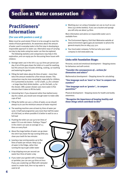# Section 2: Water conservation

# Practitioners' information

## (For use with posters 2 and 3)

Water must be used wisely if there is to be enough to meet the needs of future generations. An awareness about the amount of water used in everyday tasks is the first step in developing a responsible approach to water use. Alternative ways of carrying out day to day tasks using less water can then be explored.

The following statistics and comparisons may help in this exploration, and can equip you for discussing these issues with children:

- Average water use in the UK is 135-150 litres per person per day. A lot of this goes down the toilet or is used for washing, but this amount also includes drinking, cooking, car washing and watering the garden
- Filling the bath takes about 80 litres of water more than twice the amount needed for a five-minute shower. This comparison may be more meaningful, especially for children, if it is presented as buckets – 10 for a bath, 3.5 for a shower – or large (two litre) drinks bottles – 40 for the bath, 15 for the shower. (NB a power shower uses more water in five minutes than it takes to fill the bath)
- Interesting fact: if you showered rather than bathed every day for a week, you would save enough water to make 1680 cups of tea!
- Filling the kettle can use 2.5 litres of water, so we should always try to use the minimum amount of water required
- $\blacksquare$  The washing machine uses at least 65 litres of water per cycle. A half load programme uses more than half the water of a full load, so where possible it is better to wait to run a full load
- $\blacksquare$  Flushing the toilet can use up to ten litres of water if it is an old cistern. Putting a "hippo" in the cistern can save an average of 2.5 litres on every flush
- About five large bottles of water can go down the sink if you leave the tap running while you clean your teeth for two minutes
- $\blacksquare$  Leaving a tap running wastes up to five litres of water per minute. Keep a jug of water in the fridge, rather than running the tap to get colder water
- A tap dripping once per second can waste four litres of water a day
- $\blacksquare$  If you water your garden with a hosepipe or sprinkler, you can use 540 litres an hour. If you use a watering can filled with rainwater saved in a water butt, then no tap water is used at all

Washing your car using a hosepipe can use as much as 300 litres (150 drinks bottles). If you use a bucket and sponge you will only use about 54 litres

More information and advice on responsible water use is available from:

- $\blacksquare$  The Environment Agency. Visit their Waterwise website at www.environment-agency.gov.uk/savewater or phone the general enquiry line on 0845 933 3111
- Your local water company. To find out who your water company is visit www.water.org

## Links with Foundation Stage:

Personal, social and emotional development – Stepping stones for behaviour and self-control:

#### *"Consider the consequences of... actions for themselves and others"*

Mathematical development – Stepping stones for calculating:

*"Use language such as 'more' or 'less' to compare two numbers"*

#### *"Use language such as 'greater'... to compare quantities"*

Physical development – Stepping stones for health and bodily awareness:

*"Recognise the importance of keeping healthy and those things which contribute to this"*

6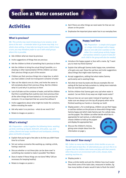# Section 2: Water conservation

# Activities

## What is precious?

NB: *This activity may need introducing at one session, to be done at the next – a reminder letter to go home may help. In a whole class setting, it may take too long for every child to have a turn; you may therefore prefer to use it with small groups where this is possible.*

- $\blacksquare$  Ask children what we mean by precious
- Invite suggestions of things that are precious
- Ask the children to think of something that is precious to them
- Ask the children to bring the actual thing if possible, or a drawing or other representation OR the children can draw their precious things as part of the session
- $\blacksquare$  Children put their precious things into a large box, to which you have added a small non-transparent container of water
- $\blacksquare$  Take out the objects one at a time, and invite the owner to tell everybody about their precious thing. Ask the children what it is and why it is precious to them
- $\blacksquare$  Last of all take out the container of water, and tell the children that this is something that could be even more precious than all the other things we have looked at. It is very precious for everyone. It is so important that we cannot live without it
- Invite suggestions about what might be inside the container, before revealing the water
- Ask why water is so precious what do we need it for?
- Relate to images on poster 2

#### What's missing?

NB: *Preparation – collect together the following items: washing up bowl, washing-up liquid, dishcloth, dirty plate, cup, and cutlery; flannel and soap; toothbrush and toothpaste; drinking glass and bottle of squash.*

- Explain that you've got a few jobs to do that you didn't have time for at home
- Set out various scenarios like washing up, making a drink, having a wash etc
- Discuss whether or not these jobs can be done now? Is something else needed to make it possible? Yes! Water
- Does it matter if these things are not done? Why? (All are necessary for keeping healthy)
- Relate to images on poster 2
- Ask if there are other things we need water for that are not shown on the poster
- **Emphasise the important place water has in our everyday lives**



## Happy/sad face

NB: *Preparation – a simple stick puppet or a large circle of paper with a happy face on one side and a sad face on the other. For a small group activity, happy and sad face stickers or post-it notes for each child in the group will also be needed.*

- Introduce the happy puppet or face with a name. Eg "I want you to meet my friend Sammy"
- **Explain that although Sammy looks happy now, sometimes** s/he gets very sad. Show the sad face and invite suggestions about things that might make Sammy sad
- Accept suggestions, adding that what makes Sammy particularly sad is wasting things
- $\blacksquare$  Ask what we mean by waste and discuss examples like not eating all the food we help ourselves to, taking more materials than we need like paint and paper
- $\blacksquare$  Tell the children that Sammy gets very sad when water is wasted. Can we think of any ways we might waste water?
- **Discuss how we can save water instead of wasting it. Eg.** make sure we always turn the tap off properly when we've finished washing our hands or cleaning our teeth
- **Display poster 3. For a small group, children can put their happy** or sad face stickers on the pictures to show which things make Sammy happy and which make Sammy sad. For a whole class, use the puppet. The children can either decide which face is appropriate for each picture, or alternatively choose children to hold up the puppet and display the appropriate face
- Discuss the children's choices, giving some simple ideas from the information on page 5



#### How much? How many?

NB: *Collect as many two litre plastic drinks bottles as you can. You will need at least five. Or alternatively you can turn this in to a game that the children take home and play with their parents when they are in an environment with a sink, shower, bath, washing machine etc.*

- Display poster 2
- $\blacksquare$  Show a drinks bottle and ask the children how much water they think some of the tasks take, measured in bottles. Eg how many bottles of water would it take to flush the toilet?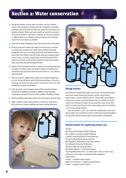# Section 2: Water conservation

- $\blacksquare$  Using the bottles to help them visualise, tell the children some of the amounts of water that are needed for everyday activities. Eg every time we flush the toilet we use about four bottles of water. When we have a bath we would need about 40 of these bottles. If we have a shower we would use about 15. When Mummy or Daddy do the washing in the washing machine it uses about 35 bottles.
- Draw the number of bottles as you talk about some of the tasks
- $\blacksquare$  Discuss how much water we might use every day at nursery or school. Eg I wonder how many times we flush the toilet altogether? Set up a recording system for one session where every time the children use the toilet, they put a empty cotton reel in a pot. Count the empty cotton reels at the end of the session and work out how many bottles of water they would have used that day by flushing the toilet
- Explain that flushing the toilet is a good use of water because it keeps the toilets clean and helps to keep us healthy, but sometimes we use more water than we need to – we call this wasting water
- $\blacksquare$  Discuss how we might waste water. For example forgetting to turn the tap off when we've finished washing our hands or cleaning our teeth (if a tap runs for one minute, then over two bottlefuls of water are wasted)
- **Look at poster 3 and compare some of the amounts of water** needed to do different activities in different ways (eg bath compared to shower) in terms of the number of bottles of water
- Ask the children which they think is the best way to do each task
- Older children could make posters or books to take home with pictures of water wasting and water saving activities





#### Using stories

The theme of responsible water use can be continued through story time. Many books and stories, whilst not primarily about water, contain references to it. Those with more explicit references to water are listed below. Ask the children to listen out for any mention of water as you read the story. Every time water is mentioned discuss how it was being used and whether or not it was being wasted.

Use the posters  $2$  and  $3$  as a basis for making your own story about water. You could look at how a child uses water throughout the day and include lessons learnt about water conservation.

## Useful books for exploring water use

*Stories:*

Mrs Plug the Plumber by Allan Ahlberg Mrs Lather's Laundry by Allan Ahlberg Charlie's House by Reviva Schermbrucker Doing the Washing by Sarah Garland Mrs Mopple's Washing Line by Anita Hewitt Five Minutes Peace by Jill Murphy Andrew's Bath by David Mc Phail Mrs Wishy-Washy – a Storychest book The King With Dirty Feet – an Indian tale – from a short story collection of that title, compiled by Mary Medicott *Information:* Homes – Longman book project Water in the House – Longman book project Toilets – Longman book project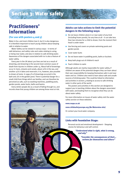

# Practitioners' information

## (For use with posters  $4$  and  $5$ )

Water is fun, and most children love it, but it is also dangerous. It is therefore important to teach young children about keeping safe in relation to water.

Water Safety can be viewed in various ways – in terms of safe behaviour, and safety rules and codes relating to using, or being near water, and also in relation to safe drinking water. Awareness of the dangers associated with ice is also a feature of water safety.

Every year in the UK about 500 lives are lost as a result of drowning, and drowning is the second most common cause of death from injuries in children under 14. About half of drownings occur in rivers, streams and canals, about 20% in the sea, and another 15% in lakes and reservoirs. It is, however, also possible to drown at home. In 1999 5% of drownings occurred in the bath and 3% in the garden pond. There is potential danger for a small child from things which are familiar, and can therefore be perceived as safe, such as washing machines, paddling pools, garden ponds, water butts, baths and basins.

Every winter people die as a result of falling through ice, and records show that young children are among those most at risk.

## Adults can take actions to limit the potential dangers in the following ways:

- $\blacksquare$  Do not leave children alone in or near water of any kind (including frozen ponds), for any time at all – it can take less than two minutes for a child to drown, from the moment their head is under water
- Use fencing and covers on private swimming pools and garden ponds
- Cover water butts
- Do not leave water in paddling pools, baths or buckets
- Keep bath plugs out of children's reach
- $\blacksquare$  Teach children to swim

Although adults are mainly responsible for water safety, if children are aware of the potential dangers they can learn about their own responsibility for keeping themselves safe in and near water and ice. Children also need to learn about safe and unsafe sources of drinking water. This could be linked to information and activities in section  $4$  relating to access to safe drinking water in other parts of the world.

The posters and activities in this section are designed to support you in teaching children about the dangers associated with water, and leading them to recognise what they can do about water safety.

For more information on issues of water safety visit the water safety section on these websites:

#### www.rospa.co.uk

#### www.childsafetyeurope.org (Be Waterwise site)

Or contact your local water company.

#### Links with Foundation Stage:

Personal social and emotional development – Stepping stones for behaviour and self-control:

> *"Understand what is right, what is wrong, and why"*

> > *"Consider the consequences of their... actions for themselves and others"*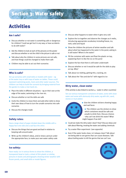# Activities

# Am I safe?

Discuss whether or not water is something safe or dangerous for children? Could we get hurt in any way, or have accidents to do with water?

Section 3: Water safety

- Ask the children to look at each of the pictures on the poster and discuss whether or not the child in the picture is safe or not
- $\blacksquare$  Talk about why the children in some pictures are not safe, and how things could be changed to make them safe
- $\blacksquare$  Children may be able to act out their scenarios

## Who is safe?

Set up scenarios with small dolls or models with water – eg at the water tray or with trays of water on tables. These could represent swimming pools, rivers and other water sources. The children can help to build the scenario by bringing material from the garden to make a river bank etc.

- **Place the dolls in different situations eg on their own at the** edge of the water, swimming in the river etc.
- Discuss whether or not the dolls are safe
- Invite the children to move them and add other dolls to show their own ideas of how to turn the unsafe scenarios into safe scenarios
- Discuss the changes made

## Safety rules:

Have a large sheet of paper divided down the middle with a happy face one side and a sad face the other.

- Discuss the things that are good and bad in relation to keeping safe around water
- **Write up the children's ideas, and/or draw a picture under** the appropriate face, to make your own water safety code

#### Ice safety:

Have ready: ice in various forms to show the children, a transparent bowl or tank, a sheet of thin plastic or similar, pictures in books and photographs showing winter weather with frozen ponds, and small dolls or model figures.

- Discuss what happens to water when it gets very cold
- **Explore the ice together and observe the changes as it melts,** introducing appropriate vocabulary including freeze, ice, melt, solid and liquid
- $\blacksquare$  Show the children the pictures of winter weather and talk about what has happened to the water in the pond, asking is it still water? Where is the water?
- Fill the container with water and float the plastic on top, explaining that it is like the ice on the pond
- **Explore the fact that there is still water underneath**
- $\blacksquare$  Discuss whether or not it would be safe for the dolls to play on top. Why?
- $\blacksquare$  Talk about ice melting, getting thin, cracking, etc
- $\blacksquare$  Talk about the "dos and don'ts" with regard to ice

#### Dirty water, clean water

(This activity is also linked to section  $4$  – water in other countries)

Set out various transparent containers of water, some with clean water and some with obviously dirty water, eg with dirt, sand, stones or mud added.



- Give the children stickers showing happy and sad faces
- $\blacksquare$  The children use the stickers to show which containers would be safe and unsafe to drink from. Discuss choices – why can't we drink this water? What might happen if we did?
- Could we make the dirty water clean? How? Discuss ideas and talk about filtering, treating the water and adding chemicals
- $\blacksquare$  Try a water filter experiment (see opposite)
- Even if the water looks clean, is it always clean? Talk about not being able to see germs that can cause diseases. Talk about boiling water to kill the germs that we can't see

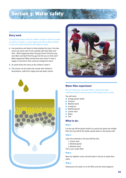# Section 3: Water safety

## Story work

Through discussions with the children using the safe and unsafe scenarios on poster 4, create happy/sad stories about children in safe and unsafe situations with regard to water

- **Use questions and ideas to help develop the story: One day** *name* and *name* went to the seaside with their Mum and Dad... What happened when they got there? Did they stay near Mum and Dad? Did they go into the sea on their own? What happened? What should they have done? Is that a happy or sad story? How could we change the story?
- An adult writes the story as the children create it
- $\blacksquare$  The stories can be made into a book with children's illustrations, called Our happy and sad water stories





#### Water filter experiment

You can make your own water filter to show how water treatment helps to remove some of the things found in water.

You will need:

- A large plastic bottle
- Scissors
- Washed sand
- A large jar
- **Washed gravel**
- Cotton wool
- **Nater**
- **Soil**

#### What to do:

#### Step 1:

Cut the top off the plastic bottle at a point just above the middle. Place the top half of the bottle upside down in the bottom half

#### Step 2:

Layer the materials in the top half like this:

- 1. Cotton wool
- 2. Washed gravel
- 3. Washed sand

This is your water filter

#### Step 3:

Now mix together some soil and water in the jar to make dirty water.

#### Step 4:

Slowly pour the water on to the filter and see what happens!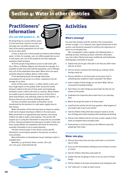# Section 4: Water in other countries

# Practitioners' information

# (For use with posters 6 – 8)

No living thing can survive without water. It is the most basic need for survival, and yet today over one billion people (one sixth of the world's population) do not have access to clean water.

In Asia, at least one in three people are without safe drinking water. In India, for example, over 170 million people lack access to safe water, and 72% of the people do not have adequate sanitation (toilet facilities).

Of all the people living without access to safe water 48% live in Africa. In Malawi, Nigeria, and Tanzania for example, it is available to little more than half the population, and in Ethiopia only 24% of the population have water. Many hours are spent, and great distances walked, daily to collect water.

In the developing world, the average daily water consumption for one person is 10 litres, compared to the UK average of 135 litres.

A lack of clean water causes 2.2 million deaths a year, and has a huge impact on the quality of life. Around the world, diseases related to the lack of clean water and inadequate sanitation cause a child to die every 15 seconds. Many children are unable to go to school because so much of their time is spent searching for, and collecting, water for their families – or because they are too sick from drinking dirty water.

The lives of children and whole communities can be transformed by the provision of a safe water supply close to their homes.

While information of this kind may have an impact on adults, it will not be of great meaning to children in the early years. When presented in an appropriate way, however, very young children are able to make a real response. This section will support you in using this information in ways that are accessible to them. Having considered the importance of water in their own lives, young children can empathise with those for whom this essential commodity is not so easily obtained.

The back of each poster in this section carries specific information concerning the people in the pictures, as well as oracy prompts.

More information on development issues relating to water is available from:

WaterAid, 47-49 Durham Street, London, SE11 5JD. 020 7793 4500. www.wateraid.org



# Activities

## What's missing?

You may have already used this activity in the Conservation section on page 7. It is, however, also a good introduction to this section, and should be repeated to reinforce the importance of water in our everyday lives.

NB: In preparation collect together the following items: a washing up bowl, washing-up liquid, dishcloth, dirty plate, cup, and cutlery; flannel and soap; toothbrush and toothpaste; drinking glass and bottle of squash.

- Explain that you've got a few jobs to do that you didn't have time for at home
- Set out various scenarios like washing up, making a drink, having a wash etc
- Discuss whether or not these jobs can be done now? Is something else needed to make it possible? Yes! Water
- Does it matter if these things are not done? Why? (All are necessary for keeping healthy).
- Ask if there are other things we need water for that are not shown on the poster
- **Emphasise the important place water has in our everyday** lives
- Where do we get the water to do these jobs?
- $\blacksquare$  Lead from the activity into the key question: what happens if you haven't got a tap in your home?
- Ask the children if they think that everyone needs to do the sort of things we've been looking at like washing and drinking
- $\blacksquare$  Discuss how children who do not have a water supply in their home accomplish these everyday tasks
- Show posters 6 and 8 and discuss the different ways that people get their water

## Water role-play

- Discuss how many times we have used water or turned the tap on today
- Focus on the time between waking up and coming to nursery or school
- Ask the children what they used water for
- Explain that we are going to mime or act out some of those things
- Tell the children to lie down and pretend to be sleeping in bed
- Call "wake up!" or make an alarm sound

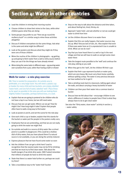# Section 4: Water in other countries

- $\blacksquare$  Lead the children in miming their morning routine
- Choose children to show their mime to the class, while other children guess what they are doing
- Some groups may prefer to use "Here we go round the mulberry bush" or a similar song to mime these activities altogether
- Discuss if children everywhere do the same things. Ask what is the same and what might be different?
- $\blacksquare$  Look at the posters and discuss what they might do if they were one of those children
- $\blacksquare$  Mime the routine of the children in photographs eg getting up and going to fetch water from a well or dirty source before they can use it for the things we have already mimed
- Mime doing the same tasks in different ways eg pouring water over ourselves from a pot, rather than having a bath or shower

# Walk for water – a role-play exercise

NB: Time is needed for preparation. An outside area is preferable, or a very large room. You will need: a plastic cup or beaker for every child and two buckets: one empty, labelled 'water-hole', and one full of water, labelled 'well'. Place these as far apart as possible in the area you will use making them slightly hidden if possible, perhaps behind trees, or a wall.

- **EXPLA** Explain that we are going to pretend to be children who do not have a tap in our home, but we still need water
- Discuss how we can get water. Where can we go? How far might it be? How long might it take? Explain that people often have to walk a long way to find water
- $\Box$  Look at posters 6 and 8, and set the scene for the role-play
- Give each child a cup or beaker, explain that this stands for the bucket or water pot the people in the posters really carry
- **Emphasise that we are pretending, and that we are not really** going to drink the water we might find
- Go outside and walk to a source of dirty water like a school pond or a puddle in playground. (This could be a shallow dish of dirty water, that you have placed there if a natural source is not available, or you are doing the activity indoors)
- **EXPLACES** PLEASURE that we have found some water so soon
- Ask the children if we can get a drink here? Lead to recognition that the nearest water may not be fit for drinking and that we must try to find clean water. Talk about the health dangers if we drink dirty water. (NB If asked remember that millions of people do have to drink this water)
- State that there is a water hole further on; perhaps we could try there?
- Take a roundabout way to the 'water hole' bucket
- Stop on the way to talk about the distance and time taken, and about feeling hot, tired, thirsty, etc
- **Approach 'water hole', and ask whether or not we could get** water to drink from here
- $\blacksquare$  Let the children discover there is no water there
- **Explain that this can really happen, that water sources may** dry up. Why? Discuss lack of rain, etc. Also explain that even if there was water here as it is unprotected it too is unsafe to drink. What can we do now?
- $\blacksquare$  Say that you have heard there is a well or tap in the next village and that we will have to walk on and get some clean water there
- $\blacksquare$  Take the longest route possible to the 'well' and continue the role-play, talking as you walk
- When they get to the 'well', let the children fill their cups
- **Explain that their cups represent buckets or water pots,** which are very heavy. We must carry them home carefully, without spilling a drop. The water is very precious because we have walked so far to get it
- $\blacksquare$  Take a winding route back to classroom, talking again about the walk, and about carrying a heavy bucketful of water
- Children can then pour their water into a common bowl or bucket
- **Discuss how we felt about that** encourage children to see what a difference it makes to people lives if that is what they always have to do to get clean water

See also the "Dirty water, clean water" activity in section 3 – water safety

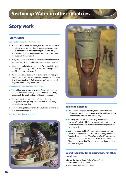# Section 4: Water in other countries

# Story work

## Story outline

#### Begin a story along the following lines:

- It is four o'clock in the afternoon, and it is very hot. *Name* and *name* have been to school, but now they have come home and it is time to do a very important job. They are going to fetch something that everyone must have to stay alive – can you guess what it is? Water!
- **Using the posters as stimuli work with the children to create** your own story. The following questions and ideas may help:
- Describe the walk to the water source. What would they see on the way? What might they talk about? How long would it take? Do they play on the way?
- Describe the scene at the well or pump (for clean water) or water hole (for dirty water). Will there be many people there? Who do they see there? Do they queue up? How long must they wait? How do they collect the water?

#### Possible variations – and develop your own

- $\blacksquare$  The children stop to play, lose track of time, take too long, get into trouble when they get home – mother is worried, cannot cook the family's dinner without the water etc
- $\blacksquare$  They see something interesting off the path in the undergrowth, perhaps they follow an animal, and then get lost and take a long time
- $\blacksquare$  They trip and spill the water on the way home, having to go back and refill their pots

The story could then be acted out.





## Same and different

- Use poster 8 alongside poster 2, to find similarities and differences. Look at how the same task like bathing children, is done in different ways and discuss why
- Referring back to the water role-play, and using poster 8 develop a "day in the life" story comparing the ways that we use water with the ways that the children in the posters do the same tasks
- Use books about children's lives in other places, such as Geeta's Day by Prodeeta Das (ISBN 0-7112-1234-1) or others from the Frances Lincoln "From Dawn to Dusk" series, asking the children to point out each time water is mentioned. Discuss – do we do that? Do we use water in that way? How do we do that job?

# Useful resources for exploring water in other countries:

Bringing the Rain to Kapiti Plain by Verma Aardema The First Rains by Peter Bonnici Oxfam Primary Topic posters – Water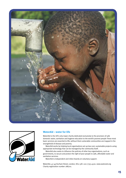



#### WaterAid – water for life

WaterAid is the UK's only major charity dedicated exclusively to the provision of safe domestic water, sanitation and hygiene education to the world's poorest people These most basic services are essential to life; without them vulnerable communities are trapped in the stranglehold of disease and poverty.

WaterAid works by helping local organisations set up low cost, sustainable projects using appropriate technology that can be managed by the community itself.

WaterAid also seeks to influence the policies of other key organisations, such as governments, to secure and protect the right of poor people to safe, affordable water and sanitation services.

WaterAid is independent and relies heavily on voluntary support.

WaterAid, 47-49 Durham Street, London, SE11 5JD. 020 7793 4500. www.wateraid.org Charity registration number 288701.